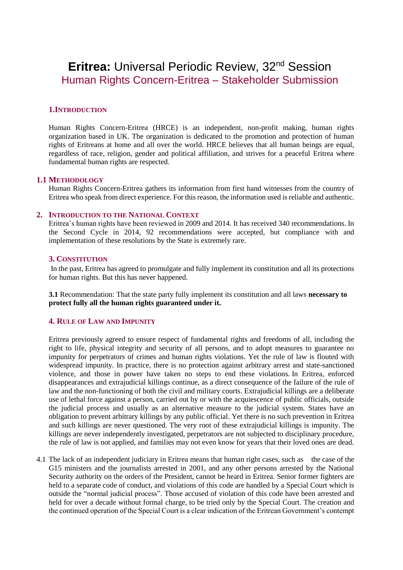# **Eritrea: Universal Periodic Review, 32<sup>nd</sup> Session** Human Rights Concern-Eritrea – Stakeholder Submission

# **1.INTRODUCTION**

Human Rights Concern-Eritrea (HRCE) is an independent, non-profit making, human rights organization based in UK. The organization is dedicated to the promotion and protection of human rights of Eritreans at home and all over the world. HRCE believes that all human beings are equal, regardless of race, religion, gender and political affiliation, and strives for a peaceful Eritrea where fundamental human rights are respected.

## **1.1 METHODOLOGY**

Human Rights Concern-Eritrea gathers its information from first hand witnesses from the country of Eritrea who speak from direct experience. For this reason, the information used is reliable and authentic.

#### **2. INTRODUCTION TO THE NATIONAL CONTEXT**

Eritrea's human rights have been reviewed in 2009 and 2014. It has received 340 recommendations. In the Second Cycle in 2014, 92 recommendations were accepted, but compliance with and implementation of these resolutions by the State is extremely rare.

## **3. CONSTITUTION**

In the past, Eritrea has agreed to promulgate and fully implement its constitution and all its protections for human rights. But this has never happened.

**3.1** Recommendation: That the state party fully implement its constitution and all laws **necessary to protect fully all the human rights guaranteed under it.**

#### **4. RULE OF LAW AND IMPUNITY**

Eritrea previously agreed to ensure respect of fundamental rights and freedoms of all, including the right to life, physical integrity and security of all persons, and to adopt measures to guarantee no impunity for perpetrators of crimes and human rights violations. Yet the rule of law is flouted with widespread impunity. In practice, there is no protection against arbitrary arrest and state-sanctioned violence, and those in power have taken no steps to end these violations. In Eritrea, enforced disappearances and extrajudicial killings continue, as a direct consequence of the failure of the rule of law and the non-functioning of both the civil and military courts. Extrajudicial killings are a deliberate use of lethal force against a person, carried out by or with the acquiescence of public officials, outside the judicial process and usually as an alternative measure to the judicial system. States have an obligation to prevent arbitrary killings by any public official. Yet there is no such prevention in Eritrea and such killings are never questioned. The very root of these extrajudicial killings is impunity. The killings are never independently investigated, perpetrators are not subjected to disciplinary procedure, the rule of law is not applied, and families may not even know for years that their loved ones are dead.

4.1 The lack of an independent judiciary in Eritrea means that human right cases, such as the case of the G15 ministers and the journalists arrested in 2001, and any other persons arrested by the National Security authority on the orders of the President, cannot be heard in Eritrea. Senior former fighters are held to a separate code of conduct, and violations of this code are handled by a Special Court which is outside the "normal judicial process". Those accused of violation of this code have been arrested and held for over a decade without formal charge, to be tried only by the Special Court. The creation and the continued operation of the Special Court is a clear indication of the Eritrean Government's contempt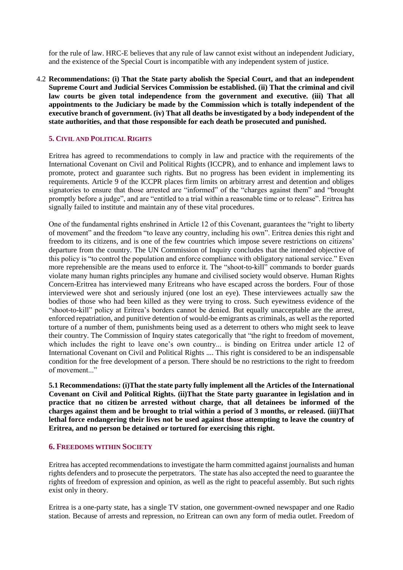for the rule of law. HRC-E believes that any rule of law cannot exist without an independent Judiciary, and the existence of the Special Court is incompatible with any independent system of justice.

4.2 **Recommendations: (i) That the State party abolish the Special Court, and that an independent Supreme Court and Judicial Services Commission be established. (ii) That the criminal and civil law courts be given total independence from the government and executive. (iii) That all appointments to the Judiciary be made by the Commission which is totally independent of the executive branch of government. (iv) That all deaths be investigated by a body independent of the state authorities, and that those responsible for each death be prosecuted and punished.**

# **5. CIVIL AND POLITICAL RIGHTS**

Eritrea has agreed to recommendations to comply in law and practice with the requirements of the International Covenant on Civil and Political Rights (ICCPR), and to enhance and implement laws to promote, protect and guarantee such rights. But no progress has been evident in implementing its requirements. Article 9 of the ICCPR places firm limits on arbitrary arrest and detention and obliges signatories to ensure that those arrested are "informed" of the "charges against them" and "brought" promptly before a judge", and are "entitled to a trial within a reasonable time or to release". Eritrea has signally failed to institute and maintain any of these vital procedures.

One of the fundamental rights enshrined in Article 12 of this Covenant, guarantees the "right to liberty of movement" and the freedom "to leave any country, including his own". Eritrea denies this right and freedom to its citizens, and is one of the few countries which impose severe restrictions on citizens' departure from the country. The UN Commission of Inquiry concludes that the intended objective of this policy is "to control the population and enforce compliance with obligatory national service." Even more reprehensible are the means used to enforce it. The "shoot-to-kill" commands to border guards violate many human rights principles any humane and civilised society would observe. Human Rights Concern-Eritrea has interviewed many Eritreans who have escaped across the borders. Four of those interviewed were shot and seriously injured (one lost an eye). These interviewees actually saw the bodies of those who had been killed as they were trying to cross. Such eyewitness evidence of the "shoot-to-kill" policy at Eritrea's borders cannot be denied. But equally unacceptable are the arrest, enforced repatriation, and punitive detention of would-be emigrants as criminals, as well as the reported torture of a number of them, punishments being used as a deterrent to others who might seek to leave their country. The Commission of Inquiry states categorically that "the right to freedom of movement, which includes the right to leave one's own country... is binding on Eritrea under article 12 of International Covenant on Civil and Political Rights .... This right is considered to be an indispensable condition for the free development of a person. There should be no restrictions to the right to freedom of movement..."

**5.1 Recommendations: (i)That the state party fully implement all the Articles of the International Covenant on Civil and Political Rights. (ii)That the State party guarantee in legislation and in practice that no citizen be arrested without charge, that all detainees be informed of the charges against them and be brought to trial within a period of 3 months, or released. (iii)That lethal force endangering their lives not be used against those attempting to leave the country of Eritrea, and no person be detained or tortured for exercising this right.**

## **6. FREEDOMS WITHIN SOCIETY**

Eritrea has accepted recommendations to investigate the harm committed against journalists and human rights defenders and to prosecute the perpetrators. The state has also accepted the need to guarantee the rights of freedom of expression and opinion, as well as the right to peaceful assembly. But such rights exist only in theory.

Eritrea is a one-party state, has a single TV station, one government-owned newspaper and one Radio station. Because of arrests and repression, no Eritrean can own any form of media outlet. Freedom of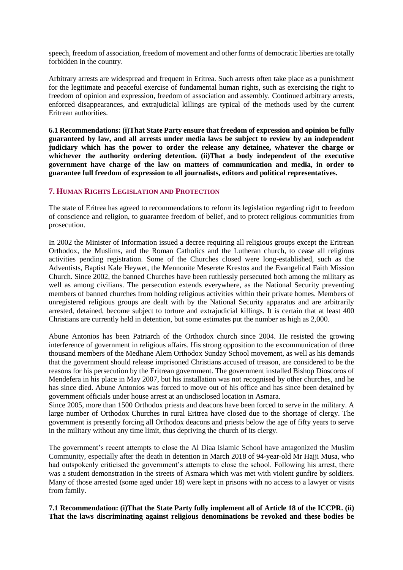speech, freedom of association, freedom of movement and other forms of democratic liberties are totally forbidden in the country.

Arbitrary arrests are widespread and frequent in Eritrea. Such arrests often take place as a punishment for the legitimate and peaceful exercise of fundamental human rights, such as exercising the right to freedom of opinion and expression, freedom of association and assembly. Continued arbitrary arrests, enforced disappearances, and extrajudicial killings are typical of the methods used by the current Eritrean authorities.

**6.1 Recommendations: (i)That State Party ensure that freedom of expression and opinion be fully guaranteed by law, and all arrests under media laws be subject to review by an independent judiciary which has the power to order the release any detainee, whatever the charge or whichever the authority ordering detention. (ii)That a body independent of the executive government have charge of the law on matters of communication and media, in order to guarantee full freedom of expression to all journalists, editors and political representatives.**

## **7. HUMAN RIGHTS LEGISLATION AND PROTECTION**

The state of Eritrea has agreed to recommendations to reform its legislation regarding right to freedom of conscience and religion, to guarantee freedom of belief, and to protect religious communities from prosecution.

In 2002 the Minister of Information issued a decree requiring all religious groups except the Eritrean Orthodox, the Muslims, and the Roman Catholics and the Lutheran church, to cease all religious activities pending registration. Some of the Churches closed were long-established, such as the Adventists, Baptist Kale Heywet, the Mennonite Meserete Krestos and the Evangelical Faith Mission Church. Since 2002, the banned Churches have been ruthlessly persecuted both among the military as well as among civilians. The persecution extends everywhere, as the National Security preventing members of banned churches from holding religious activities within their private homes. Members of unregistered religious groups are dealt with by the National Security apparatus and are arbitrarily arrested, detained, become subject to torture and extrajudicial killings. It is certain that at least 400 Christians are currently held in detention, but some estimates put the number as high as 2,000.

Abune Antonios has been Patriarch of the Orthodox church since 2004. He resisted the growing interference of government in religious affairs. His strong opposition to the excommunication of three thousand members of the Medhane Alem Orthodox Sunday School movement, as well as his demands that the government should release imprisoned Christians accused of treason, are considered to be the reasons for his persecution by the Eritrean government. The government installed Bishop Dioscoros of Mendefera in his place in May 2007, but his installation was not recognised by other churches, and he has since died. Abune Antonios was forced to move out of his office and has since been detained by government officials under house arrest at an undisclosed location in Asmara.

Since 2005, more than 1500 Orthodox priests and deacons have been forced to serve in the military. A large number of Orthodox Churches in rural Eritrea have closed due to the shortage of clergy. The government is presently forcing all Orthodox deacons and priests below the age of fifty years to serve in the military without any time limit, thus depriving the church of its clergy.

The government's recent attempts to close the Al Diaa Islamic School have antagonized the Muslim Community, especially after the death in detention in March 2018 of 94-year-old Mr Hajji Musa, who had outspokenly criticised the government's attempts to close the school. Following his arrest, there was a [student demonstration](http://hrc-eritrea.org/gunfire-in-the-center-of-asmara-casualties-unknown/) in the streets of Asmara which was met with violent gunfire by soldiers. Many of those arrested (some aged under 18) were kept in prisons with no access to a lawyer or visits from family.

**7.1 Recommendation: (i)That the State Party fully implement all of Article 18 of the ICCPR. (ii) That the laws discriminating against religious denominations be revoked and these bodies be**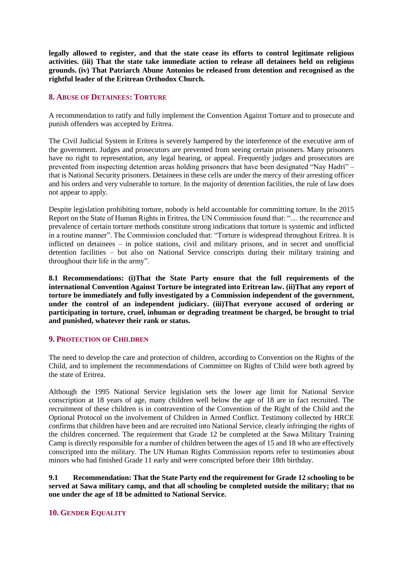**legally allowed to register, and that the state cease its efforts to control legitimate religious activities. (iii) That the state take immediate action to release all detainees held on religious grounds. (iv) That Patriarch Abune Antonios be released from detention and recognised as the rightful leader of the Eritrean Orthodox Church.**

# **8. ABUSE OF DETAINEES: TORTURE**

A recommendation to ratify and fully implement the Convention Against Torture and to prosecute and punish offenders was accepted by Eritrea.

The Civil Judicial System in Eritrea is severely hampered by the interference of the executive arm of the government. Judges and prosecutors are prevented from seeing certain prisoners. Many prisoners have no right to representation, any legal hearing, or appeal. Frequently judges and prosecutors are prevented from inspecting detention areas holding prisoners that have been designated "Nay Hadri" – that is National Security prisoners. Detainees in these cells are under the mercy of their arresting officer and his orders and very vulnerable to torture. In the majority of detention facilities, the rule of law does not appear to apply.

Despite legislation prohibiting torture, nobody is held accountable for committing torture. In the 2015 Report on the State of Human Rights in Eritrea, the UN Commission found that: ".... the recurrence and prevalence of certain torture methods constitute strong indications that torture is systemic and inflicted in a routine manner". The Commission concluded that: "Torture is widespread throughout Eritrea. It is inflicted on detainees – in police stations, civil and military prisons, and in secret and unofficial detention facilities – but also on National Service conscripts during their military training and throughout their life in the army".

**8.1 Recommendations: (i)That the State Party ensure that the full requirements of the international Convention Against Torture be integrated into Eritrean law. (ii)That any report of torture be immediately and fully investigated by a Commission independent of the government, under the control of an independent judiciary. (iii)That everyone accused of ordering or participating in torture, cruel, inhuman or degrading treatment be charged, be brought to trial and punished, whatever their rank or status.**

## **9. PROTECTION OF CHILDREN**

The need to develop the care and protection of children, according to Convention on the Rights of the Child, and to implement the recommendations of Committee on Rights of Child were both agreed by the state of Eritrea.

Although the 1995 National Service legislation sets the lower age limit for National Service conscription at 18 years of age, many children well below the age of 18 are in fact recruited. The recruitment of these children is in contravention of the Convention of the Right of the Child and the Optional Protocol on the involvement of Children in Armed Conflict. Testimony collected by HRCE confirms that children have been and are recruited into National Service, clearly infringing the rights of the children concerned. The requirement that Grade 12 be completed at the Sawa Military Training Camp is directly responsible for a number of children between the ages of 15 and 18 who are effectively conscripted into the military. The UN Human Rights Commission reports refer to testimonies about minors who had finished Grade 11 early and were conscripted before their 18th birthday.

**9.1 Recommendation: That the State Party end the requirement for Grade 12 schooling to be served at Sawa military camp, and that all schooling be completed outside the military; that no one under the age of 18 be admitted to National Service.**

# **10. GENDER EQUALITY**